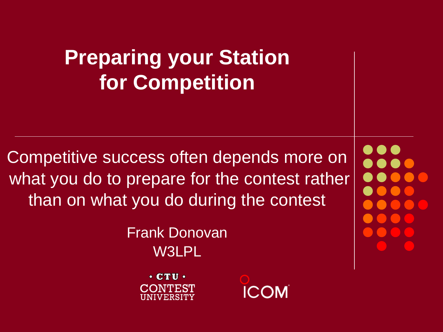### **Preparing your Station for Competition**

Competitive success often depends more on what you do to prepare for the contest rather than on what you do during the contest

> Frank Donovan W3LPL

> > $\cdot$  CTU  $\cdot$ CONTEST VIVERSITY

**ICOM**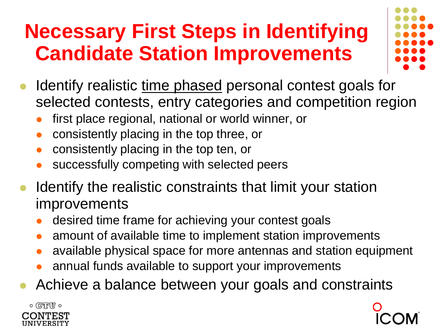## **Necessary First Steps in Identifying Candidate Station Improvements**

- Identify realistic time phased personal contest goals for selected contests, entry categories and competition region
	- ⚫ first place regional, national or world winner, or
	- ⚫ consistently placing in the top three, or
	- ⚫ consistently placing in the top ten, or
	- ⚫ successfully competing with selected peers
- ⚫ Identify the realistic constraints that limit your station improvements
	- ⚫ desired time frame for achieving your contest goals
	- ⚫ amount of available time to implement station improvements
	- ⚫ available physical space for more antennas and station equipment
	- ⚫ annual funds available to support your improvements
	- ⚫ Achieve a balance between your goals and constraints

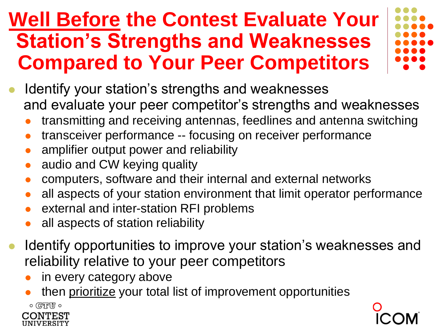### **Well Before the Contest Evaluate Your Station's Strengths and Weaknesses Compared to Your Peer Competitors**

- ⚫ Identify your station's strengths and weaknesses and evaluate your peer competitor's strengths and weaknesses
	- ⚫ transmitting and receiving antennas, feedlines and antenna switching
	- transceiver performance -- focusing on receiver performance
	- ⚫ amplifier output power and reliability
	- ⚫ audio and CW keying quality
	- ⚫ computers, software and their internal and external networks
	- ⚫ all aspects of your station environment that limit operator performance
	- ⚫ external and inter-station RFI problems
	- ⚫ all aspects of station reliability
- ⚫ Identify opportunities to improve your station's weaknesses and reliability relative to your peer competitors
	- ⚫ in every category above

 $\circ$  ( $CFTU$ )  $\circ$ 

⚫ then prioritize your total list of improvement opportunities

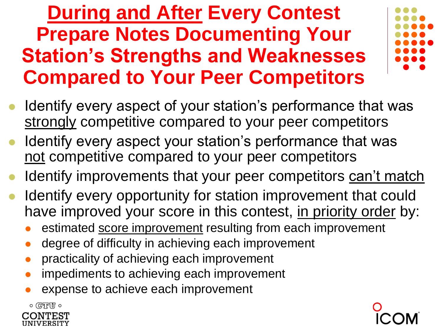#### **During and After Every Contest Prepare Notes Documenting Your Station's Strengths and Weaknesses Compared to Your Peer Competitors**

- Identify every aspect of your station's performance that was strongly competitive compared to your peer competitors
- Identify every aspect your station's performance that was not competitive compared to your peer competitors
- Identify improvements that your peer competitors can't match
- Identify every opportunity for station improvement that could have improved your score in this contest, in priority order by:
	- estimated score improvement resulting from each improvement
	- ⚫ degree of difficulty in achieving each improvement
	- ⚫ practicality of achieving each improvement
	- ⚫ impediments to achieving each improvement
	- ⚫ expense to achieve each improvement

 $\circ$  ( $\circ$ T<sup>T</sup>)  $\circ$ 

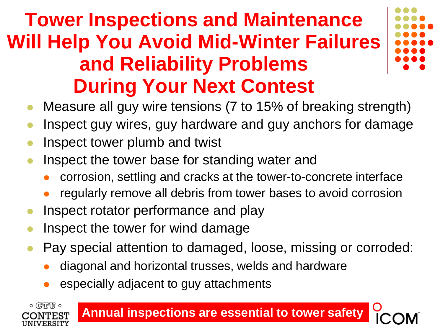#### **Tower Inspections and Maintenance Will Help You Avoid Mid-Winter Failures and Reliability Problems During Your Next Contest**



- ⚫ Measure all guy wire tensions (7 to 15% of breaking strength)
- ⚫ Inspect guy wires, guy hardware and guy anchors for damage
- ⚫ Inspect tower plumb and twist
- ⚫ Inspect the tower base for standing water and
	- ⚫ corrosion, settling and cracks at the tower-to-concrete interface
	- ⚫ regularly remove all debris from tower bases to avoid corrosion
- ⚫ Inspect rotator performance and play
- ⚫ Inspect the tower for wind damage
- ⚫ Pay special attention to damaged, loose, missing or corroded:
	- ⚫ diagonal and horizontal trusses, welds and hardware
	- ⚫ especially adjacent to guy attachments

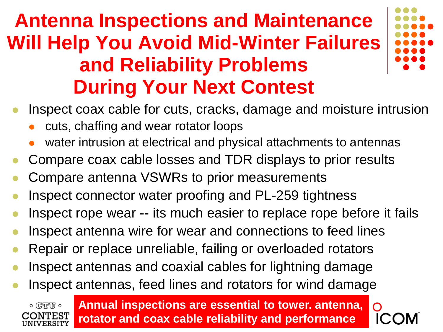#### **Antenna Inspections and Maintenance Will Help You Avoid Mid-Winter Failures and Reliability Problems During Your Next Contest**



∩

- ⚫ Inspect coax cable for cuts, cracks, damage and moisture intrusion
	- ⚫ cuts, chaffing and wear rotator loops
	- water intrusion at electrical and physical attachments to antennas
- ⚫ Compare coax cable losses and TDR displays to prior results
- ⚫ Compare antenna VSWRs to prior measurements
- ⚫ Inspect connector water proofing and PL-259 tightness
- ⚫ Inspect rope wear -- its much easier to replace rope before it fails
- ⚫ Inspect antenna wire for wear and connections to feed lines
- ⚫ Repair or replace unreliable, failing or overloaded rotators
- ⚫ Inspect antennas and coaxial cables for lightning damage
- ⚫ Inspect antennas, feed lines and rotators for wind damage

 $\circ$  (CTU  $\circ$ ONTEST **Annual inspections are essential to tower. antenna, rotator and coax cable reliability and performance**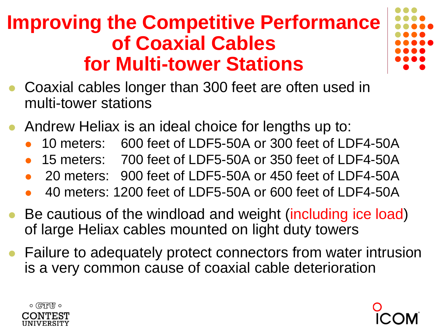#### **Improving the Competitive Performance of Coaxial Cables for Multi-tower Stations**

- ⚫ Coaxial cables longer than 300 feet are often used in multi-tower stations
- ⚫ Andrew Heliax is an ideal choice for lengths up to:
	- ⚫ 10 meters: 600 feet of LDF5-50A or 300 feet of LDF4-50A
	- ⚫ 15 meters: 700 feet of LDF5-50A or 350 feet of LDF4-50A
	- ⚫ 20 meters: 900 feet of LDF5-50A or 450 feet of LDF4-50A
	- ⚫ 40 meters: 1200 feet of LDF5-50A or 600 feet of LDF4-50A
- Be cautious of the windload and weight (including ice load) of large Heliax cables mounted on light duty towers
- ⚫ Failure to adequately protect connectors from water intrusion is a very common cause of coaxial cable deterioration



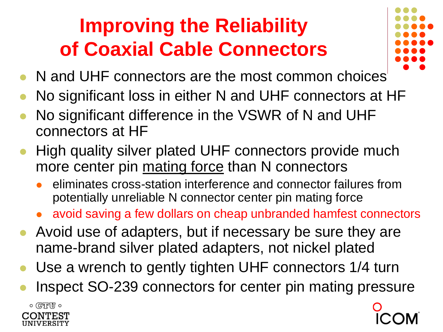## **Improving the Reliability of Coaxial Cable Connectors**



- N and UHF connectors are the most common choices
- ⚫ No significant loss in either N and UHF connectors at HF
- ⚫ No significant difference in the VSWR of N and UHF connectors at HF
- ⚫ High quality silver plated UHF connectors provide much more center pin mating force than N connectors
	- ⚫ eliminates cross-station interference and connector failures from potentially unreliable N connector center pin mating force
	- ⚫ avoid saving a few dollars on cheap unbranded hamfest connectors
- Avoid use of adapters, but if necessary be sure they are name-brand silver plated adapters, not nickel plated
- Use a wrench to gently tighten UHF connectors  $1/4$  turn
- ⚫ Inspect SO-239 connectors for center pin mating pressure

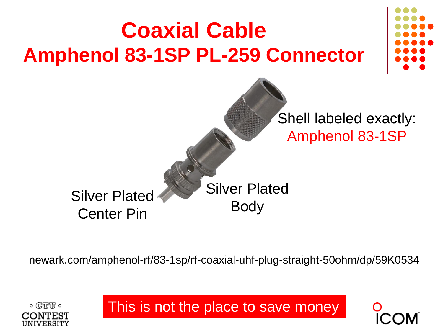

newark.com/amphenol-rf/83-1sp/rf-coaxial-uhf-plug-straight-50ohm/dp/59K0534

 $\circ$  ( $CFTU$ )  $\circ$ 

This is not the place to save money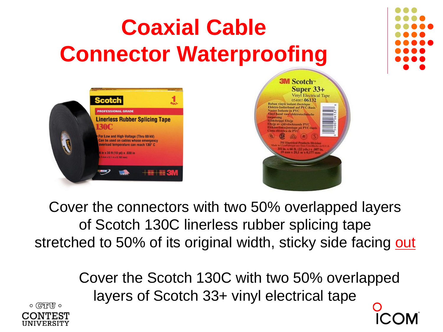# **Coaxial Cable Connector Waterproofing**





Cover the connectors with two 50% overlapped layers of Scotch 130C linerless rubber splicing tape stretched to 50% of its original width, sticky side facing out

> Cover the Scotch 130C with two 50% overlapped layers of Scotch 33+ vinyl electrical tape

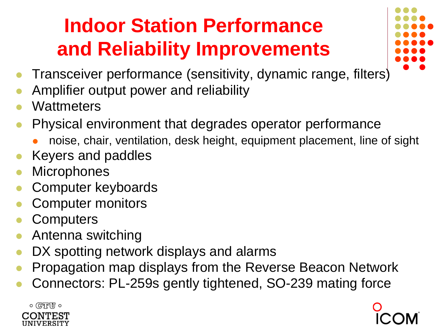## **Indoor Station Performance and Reliability Improvements**

- 
- ⚫ Transceiver performance (sensitivity, dynamic range, filters)
- ⚫ Amplifier output power and reliability
- **Wattmeters**
- ⚫ Physical environment that degrades operator performance
	- ⚫ noise, chair, ventilation, desk height, equipment placement, line of sight
- ⚫ Keyers and paddles
- **Microphones**
- ⚫ Computer keyboards
- ⚫ Computer monitors
- **Computers**
- ⚫ Antenna switching
- DX spotting network displays and alarms
- ⚫ Propagation map displays from the Reverse Beacon Network
- ⚫ Connectors: PL-259s gently tightened, SO-239 mating force



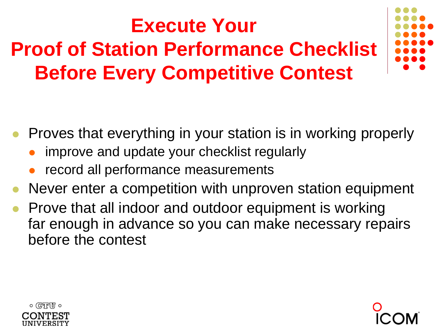# **Execute Your Proof of Station Performance Checklist Before Every Competitive Contest**



- ⚫ Proves that everything in your station is in working properly
	- ⚫ improve and update your checklist regularly
	- ⚫ record all performance measurements
- Never enter a competition with unproven station equipment
- ⚫ Prove that all indoor and outdoor equipment is working far enough in advance so you can make necessary repairs before the contest

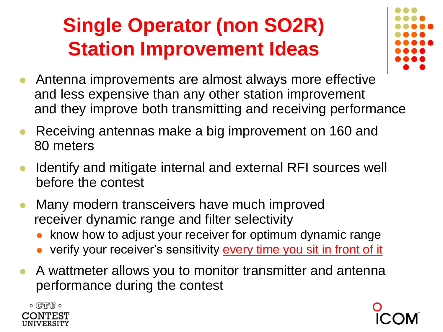## **Single Operator (non SO2R) Station Improvement Ideas**

- ⚫ Antenna improvements are almost always more effective and less expensive than any other station improvement and they improve both transmitting and receiving performance
- ⚫ Receiving antennas make a big improvement on 160 and 80 meters
- ⚫ Identify and mitigate internal and external RFI sources well before the contest
- ⚫ Many modern transceivers have much improved receiver dynamic range and filter selectivity
	- ⚫ know how to adjust your receiver for optimum dynamic range
	- verify your receiver's sensitivity every time you sit in front of it
- ⚫ A wattmeter allows you to monitor transmitter and antenna performance during the contest



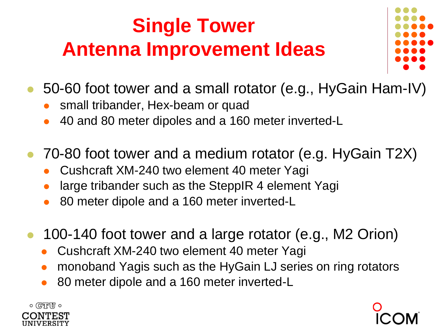## **Single Tower Antenna Improvement Ideas**



- ⚫ 50-60 foot tower and a small rotator (e.g., HyGain Ham-IV)
	- ⚫ small tribander, Hex-beam or quad
	- ⚫ 40 and 80 meter dipoles and a 160 meter inverted-L
- ⚫ 70-80 foot tower and a medium rotator (e.g. HyGain T2X)
	- ⚫ Cushcraft XM-240 two element 40 meter Yagi
	- large tribander such as the SteppIR 4 element Yagi
	- ⚫ 80 meter dipole and a 160 meter inverted-L
- ⚫ 100-140 foot tower and a large rotator (e.g., M2 Orion)
	- ⚫ Cushcraft XM-240 two element 40 meter Yagi
	- ⚫ monoband Yagis such as the HyGain LJ series on ring rotators
	- ⚫ 80 meter dipole and a 160 meter inverted-L